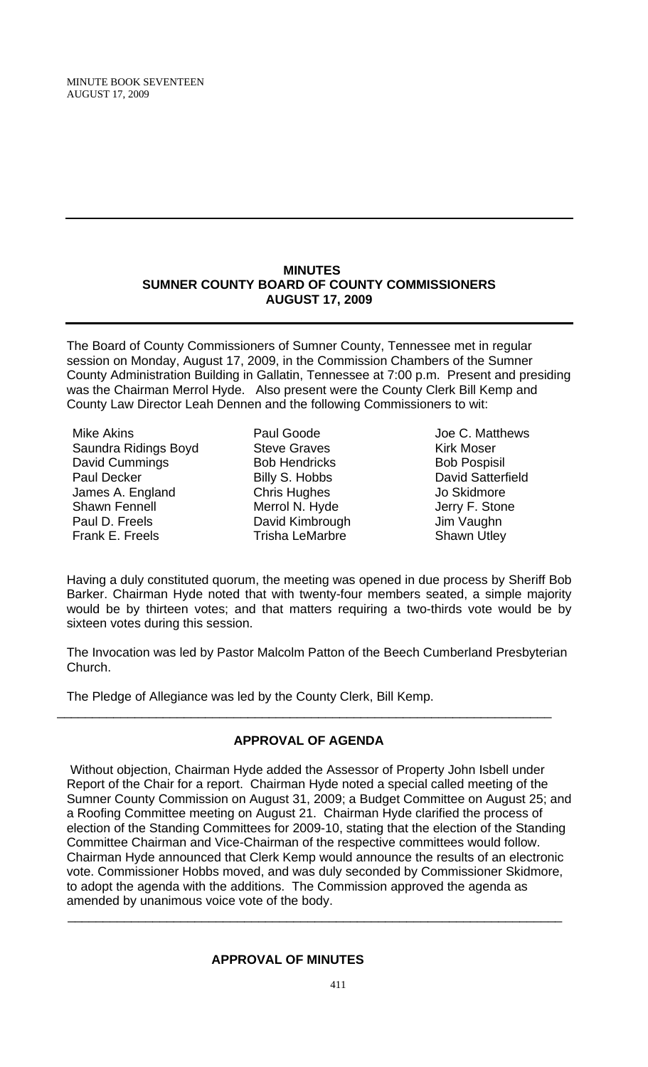MINUTE BOOK SEVENTEEN AUGUST 17, 2009

#### **MINUTES SUMNER COUNTY BOARD OF COUNTY COMMISSIONERS AUGUST 17, 2009**

The Board of County Commissioners of Sumner County, Tennessee met in regular session on Monday, August 17, 2009, in the Commission Chambers of the Sumner County Administration Building in Gallatin, Tennessee at 7:00 p.m. Present and presiding was the Chairman Merrol Hyde. Also present were the County Clerk Bill Kemp and County Law Director Leah Dennen and the following Commissioners to wit:

Mike Akins Saundra Ridings Boyd David Cummings Paul Decker James A. England Shawn Fennell Paul D. Freels Frank E. Freels

- Paul Goode Steve Graves Bob Hendricks Billy S. Hobbs Chris Hughes Merrol N. Hyde David Kimbrough Trisha LeMarbre
- Joe C. Matthews Kirk Moser Bob Pospisil David Satterfield Jo Skidmore Jerry F. Stone Jim Vaughn Shawn Utley

Having a duly constituted quorum, the meeting was opened in due process by Sheriff Bob Barker. Chairman Hyde noted that with twenty-four members seated, a simple majority would be by thirteen votes; and that matters requiring a two-thirds vote would be by sixteen votes during this session.

The Invocation was led by Pastor Malcolm Patton of the Beech Cumberland Presbyterian Church.

The Pledge of Allegiance was led by the County Clerk, Bill Kemp.

# **APPROVAL OF AGENDA**

\_\_\_\_\_\_\_\_\_\_\_\_\_\_\_\_\_\_\_\_\_\_\_\_\_\_\_\_\_\_\_\_\_\_\_\_\_\_\_\_\_\_\_\_\_\_\_\_\_\_\_\_\_\_\_\_\_\_\_\_\_\_\_\_\_\_\_\_\_\_

Without objection, Chairman Hyde added the Assessor of Property John Isbell under Report of the Chair for a report. Chairman Hyde noted a special called meeting of the Sumner County Commission on August 31, 2009; a Budget Committee on August 25; and a Roofing Committee meeting on August 21. Chairman Hyde clarified the process of election of the Standing Committees for 2009-10, stating that the election of the Standing Committee Chairman and Vice-Chairman of the respective committees would follow. Chairman Hyde announced that Clerk Kemp would announce the results of an electronic vote. Commissioner Hobbs moved, and was duly seconded by Commissioner Skidmore, to adopt the agenda with the additions. The Commission approved the agenda as amended by unanimous voice vote of the body.

 $\overline{\phantom{a}}$  , and the contribution of the contribution of the contribution of the contribution of the contribution of the contribution of the contribution of the contribution of the contribution of the contribution of the

## **APPROVAL OF MINUTES**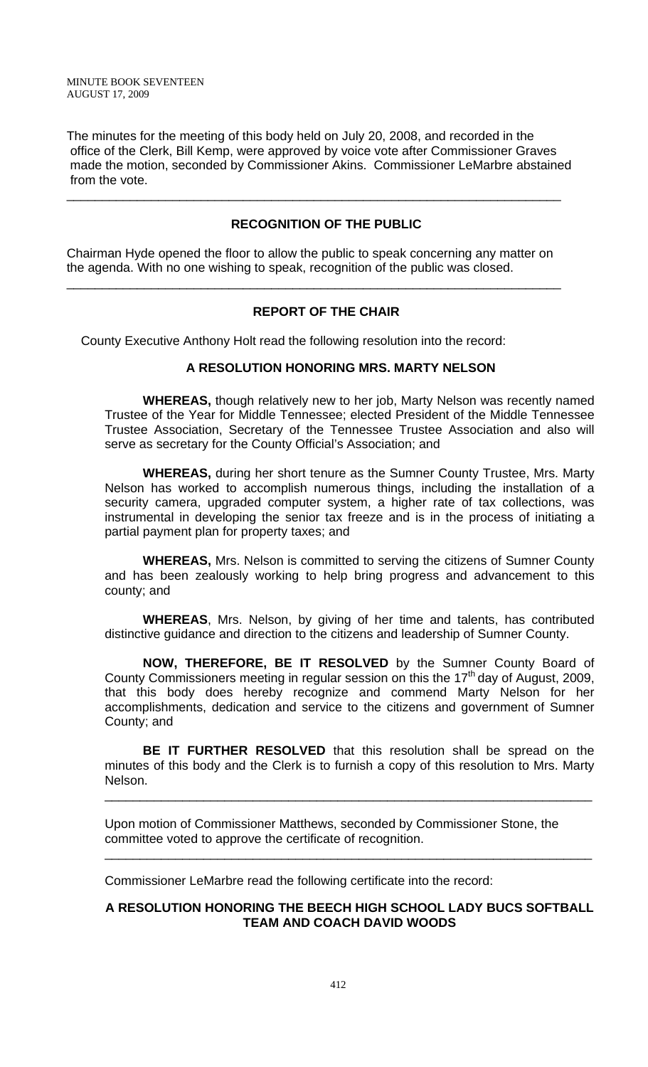The minutes for the meeting of this body held on July 20, 2008, and recorded in the office of the Clerk, Bill Kemp, were approved by voice vote after Commissioner Graves made the motion, seconded by Commissioner Akins. Commissioner LeMarbre abstained from the vote.

\_\_\_\_\_\_\_\_\_\_\_\_\_\_\_\_\_\_\_\_\_\_\_\_\_\_\_\_\_\_\_\_\_\_\_\_\_\_\_\_\_\_\_\_\_\_\_\_\_\_\_\_\_\_\_\_\_\_\_\_\_\_\_\_\_\_\_\_\_\_

# **RECOGNITION OF THE PUBLIC**

Chairman Hyde opened the floor to allow the public to speak concerning any matter on the agenda. With no one wishing to speak, recognition of the public was closed.

\_\_\_\_\_\_\_\_\_\_\_\_\_\_\_\_\_\_\_\_\_\_\_\_\_\_\_\_\_\_\_\_\_\_\_\_\_\_\_\_\_\_\_\_\_\_\_\_\_\_\_\_\_\_\_\_\_\_\_\_\_\_\_\_\_\_\_\_\_\_

### **REPORT OF THE CHAIR**

County Executive Anthony Holt read the following resolution into the record:

### **A RESOLUTION HONORING MRS. MARTY NELSON**

 **WHEREAS,** though relatively new to her job, Marty Nelson was recently named Trustee of the Year for Middle Tennessee; elected President of the Middle Tennessee Trustee Association, Secretary of the Tennessee Trustee Association and also will serve as secretary for the County Official's Association; and

**WHEREAS,** during her short tenure as the Sumner County Trustee, Mrs. Marty Nelson has worked to accomplish numerous things, including the installation of a security camera, upgraded computer system, a higher rate of tax collections, was instrumental in developing the senior tax freeze and is in the process of initiating a partial payment plan for property taxes; and

**WHEREAS,** Mrs. Nelson is committed to serving the citizens of Sumner County and has been zealously working to help bring progress and advancement to this county; and

**WHEREAS**, Mrs. Nelson, by giving of her time and talents, has contributed distinctive guidance and direction to the citizens and leadership of Sumner County.

**NOW, THEREFORE, BE IT RESOLVED** by the Sumner County Board of County Commissioners meeting in regular session on this the  $17<sup>th</sup>$  day of August, 2009, that this body does hereby recognize and commend Marty Nelson for her accomplishments, dedication and service to the citizens and government of Sumner County; and

**BE IT FURTHER RESOLVED** that this resolution shall be spread on the minutes of this body and the Clerk is to furnish a copy of this resolution to Mrs. Marty Nelson.

\_\_\_\_\_\_\_\_\_\_\_\_\_\_\_\_\_\_\_\_\_\_\_\_\_\_\_\_\_\_\_\_\_\_\_\_\_\_\_\_\_\_\_\_\_\_\_\_\_\_\_\_\_\_\_\_\_\_\_\_\_\_\_\_\_\_\_\_\_

\_\_\_\_\_\_\_\_\_\_\_\_\_\_\_\_\_\_\_\_\_\_\_\_\_\_\_\_\_\_\_\_\_\_\_\_\_\_\_\_\_\_\_\_\_\_\_\_\_\_\_\_\_\_\_\_\_\_\_\_\_\_\_\_\_\_\_\_\_

Upon motion of Commissioner Matthews, seconded by Commissioner Stone, the committee voted to approve the certificate of recognition.

Commissioner LeMarbre read the following certificate into the record:

### **A RESOLUTION HONORING THE BEECH HIGH SCHOOL LADY BUCS SOFTBALL TEAM AND COACH DAVID WOODS**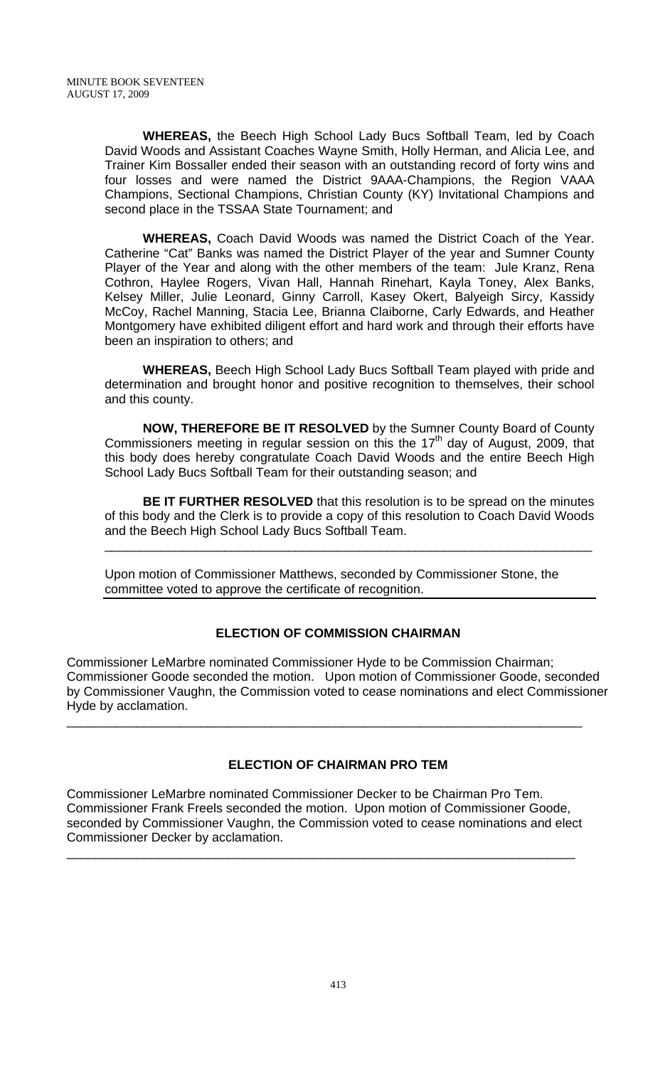**WHEREAS,** the Beech High School Lady Bucs Softball Team, led by Coach David Woods and Assistant Coaches Wayne Smith, Holly Herman, and Alicia Lee, and Trainer Kim Bossaller ended their season with an outstanding record of forty wins and four losses and were named the District 9AAA-Champions, the Region VAAA Champions, Sectional Champions, Christian County (KY) Invitational Champions and second place in the TSSAA State Tournament; and

**WHEREAS,** Coach David Woods was named the District Coach of the Year. Catherine "Cat" Banks was named the District Player of the year and Sumner County Player of the Year and along with the other members of the team: Jule Kranz, Rena Cothron, Haylee Rogers, Vivan Hall, Hannah Rinehart, Kayla Toney, Alex Banks, Kelsey Miller, Julie Leonard, Ginny Carroll, Kasey Okert, Balyeigh Sircy, Kassidy McCoy, Rachel Manning, Stacia Lee, Brianna Claiborne, Carly Edwards, and Heather Montgomery have exhibited diligent effort and hard work and through their efforts have been an inspiration to others; and

**WHEREAS,** Beech High School Lady Bucs Softball Team played with pride and determination and brought honor and positive recognition to themselves, their school and this county.

**NOW, THEREFORE BE IT RESOLVED** by the Sumner County Board of County Commissioners meeting in regular session on this the  $17<sup>th</sup>$  day of August, 2009, that this body does hereby congratulate Coach David Woods and the entire Beech High School Lady Bucs Softball Team for their outstanding season; and

**BE IT FURTHER RESOLVED** that this resolution is to be spread on the minutes of this body and the Clerk is to provide a copy of this resolution to Coach David Woods and the Beech High School Lady Bucs Softball Team.

\_\_\_\_\_\_\_\_\_\_\_\_\_\_\_\_\_\_\_\_\_\_\_\_\_\_\_\_\_\_\_\_\_\_\_\_\_\_\_\_\_\_\_\_\_\_\_\_\_\_\_\_\_\_\_\_\_\_\_\_\_\_\_\_\_\_\_\_\_

Upon motion of Commissioner Matthews, seconded by Commissioner Stone, the committee voted to approve the certificate of recognition.

# **ELECTION OF COMMISSION CHAIRMAN**

Commissioner LeMarbre nominated Commissioner Hyde to be Commission Chairman; Commissioner Goode seconded the motion. Upon motion of Commissioner Goode, seconded by Commissioner Vaughn, the Commission voted to cease nominations and elect Commissioner Hyde by acclamation.

\_\_\_\_\_\_\_\_\_\_\_\_\_\_\_\_\_\_\_\_\_\_\_\_\_\_\_\_\_\_\_\_\_\_\_\_\_\_\_\_\_\_\_\_\_\_\_\_\_\_\_\_\_\_\_\_\_\_\_\_\_\_\_\_\_\_\_\_\_\_\_\_\_

# **ELECTION OF CHAIRMAN PRO TEM**

Commissioner LeMarbre nominated Commissioner Decker to be Chairman Pro Tem. Commissioner Frank Freels seconded the motion. Upon motion of Commissioner Goode, seconded by Commissioner Vaughn, the Commission voted to cease nominations and elect Commissioner Decker by acclamation.

\_\_\_\_\_\_\_\_\_\_\_\_\_\_\_\_\_\_\_\_\_\_\_\_\_\_\_\_\_\_\_\_\_\_\_\_\_\_\_\_\_\_\_\_\_\_\_\_\_\_\_\_\_\_\_\_\_\_\_\_\_\_\_\_\_\_\_\_\_\_\_\_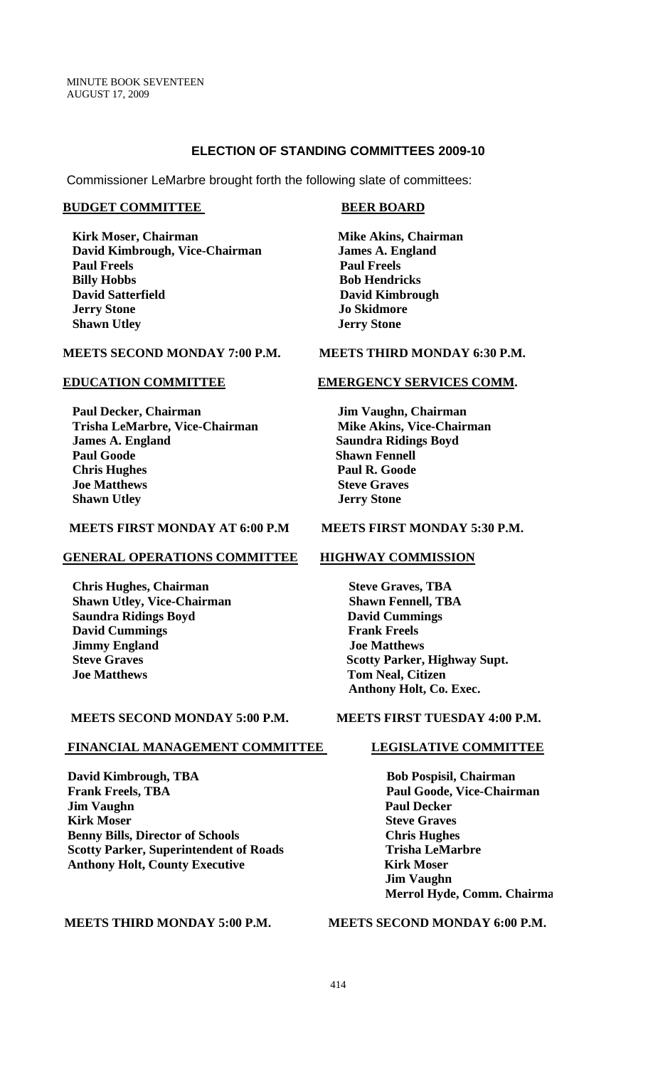#### **ELECTION OF STANDING COMMITTEES 2009-10**

Commissioner LeMarbre brought forth the following slate of committees:

#### **BUDGET COMMITTEE BEER BOARD**

**Kirk Moser, Chairman Mike Akins, Chairman Mike Akins, Chairman** David Kimbrough, Vice-Chairman James A. England **Paul Freels Paul Freels Billy Hobbs Bob Hendricks David Satterfield David Kimbrough David Kimbrough** *Jo Skidmore Jo Skidmore* **Shawn Utley Stone 3 Jerry Stone** 

#### **MEETS SECOND MONDAY 7:00 P.M. MEETS THIRD MONDAY 6:30 P.M.**

Paul Decker, Chairman **Jim Vaughn, Chairman** Trisha LeMarbre, Vice-Chairman Mike Akins, Vice-Chairman **12. James A. England Saundra Ridings Boyd Paul Goode** Shawn Fennell *Chris Hughes* Paul R. Goode **Ioe Matthews Steve Graves Shawn Utley Stone 3 Jerry Stone** 

### **MEETS FIRST MONDAY AT 6:00 P.M MEETS FIRST MONDAY 5:30 P.M.**

#### **GENERAL OPERATIONS COMMITTEE HIGHWAY COMMISSION**

**Chris Hughes, Chairman Steve Graves, TBA Shawn Utley, Vice-Chairman Shawn Fennell, TBA Saundra Ridings Boyd David Cummings David Cummings Frank Freels** *<u>Jimmy England</u> Joe Matthews*  **Joe Matthews Tom Neal, Citizen** 

### **MEETS SECOND MONDAY 5:00 P.M. MEETS FIRST TUESDAY 4:00 P.M.**

#### **FINANCIAL MANAGEMENT COMMITTEE LEGISLATIVE COMMITTEE**

**David Kimbrough, TBA** Bob Pospisil, Chairman **Frank Freels, TBA** Paul Goode, Vice-Chairman *Iim Vaughn* Paul Decker **Kirk Moser** Steve Graves  **Benny Bills, Director of Schools Chris Hughes Scotty Parker, Superintendent of Roads Trisha LeMarbre Anthony Holt, County Executive Kirk Moser** 

#### **EDUCATION COMMITTEE EMERGENCY SERVICES COMM.**

**Steve Graves Scotty Parker, Highway Supt. Anthony Holt, Co. Exec.** 

 **Jim Vaughn Merrol Hyde, Comm. Chairma**

 **MEETS THIRD MONDAY 5:00 P.M. MEETS SECOND MONDAY 6:00 P.M.**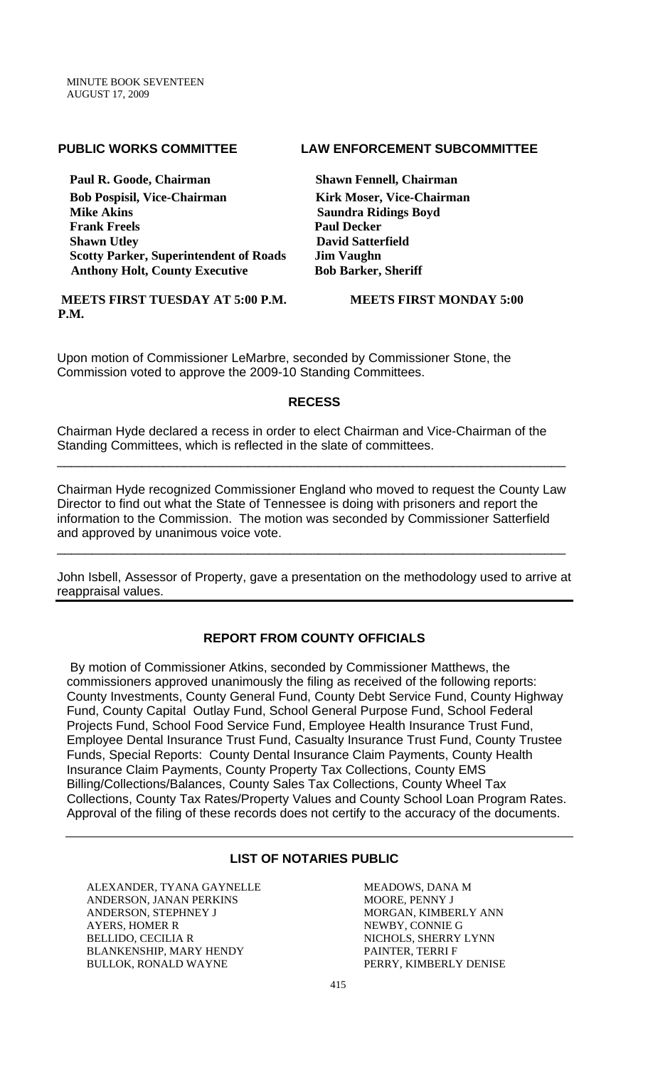Paul R. Goode, Chairman **Shawn Fennell, Chairman Bob Pospisil, Vice-Chairman Kirk Moser, Vice-Chairman Frank Freels** Paul Decker **Shawn Utley David Satterfield David Satterfield Scotty Parker, Superintendent of Roads Jim Vaughn**  Anthony Holt, County Executive Bob Barker, Sheriff

#### **MEETS FIRST TUESDAY AT 5:00 P.M. MEETS FIRST MONDAY 5:00 P.M.**

### **PUBLIC WORKS COMMITTEE LAW ENFORCEMENT SUBCOMMITTEE**

**Saundra Ridings Boyd** 

Upon motion of Commissioner LeMarbre, seconded by Commissioner Stone, the Commission voted to approve the 2009-10 Standing Committees.

# **RECESS**

Chairman Hyde declared a recess in order to elect Chairman and Vice-Chairman of the Standing Committees, which is reflected in the slate of committees.

Chairman Hyde recognized Commissioner England who moved to request the County Law Director to find out what the State of Tennessee is doing with prisoners and report the information to the Commission. The motion was seconded by Commissioner Satterfield and approved by unanimous voice vote.

\_\_\_\_\_\_\_\_\_\_\_\_\_\_\_\_\_\_\_\_\_\_\_\_\_\_\_\_\_\_\_\_\_\_\_\_\_\_\_\_\_\_\_\_\_\_\_\_\_\_\_\_\_\_\_\_\_\_\_\_\_\_\_\_\_\_\_\_\_\_\_\_

\_\_\_\_\_\_\_\_\_\_\_\_\_\_\_\_\_\_\_\_\_\_\_\_\_\_\_\_\_\_\_\_\_\_\_\_\_\_\_\_\_\_\_\_\_\_\_\_\_\_\_\_\_\_\_\_\_\_\_\_\_\_\_\_\_\_\_\_\_\_\_\_

John Isbell, Assessor of Property, gave a presentation on the methodology used to arrive at reappraisal values.

# **REPORT FROM COUNTY OFFICIALS**

 By motion of Commissioner Atkins, seconded by Commissioner Matthews, the commissioners approved unanimously the filing as received of the following reports: County Investments, County General Fund, County Debt Service Fund, County Highway Fund, County Capital Outlay Fund, School General Purpose Fund, School Federal Projects Fund, School Food Service Fund, Employee Health Insurance Trust Fund, Employee Dental Insurance Trust Fund, Casualty Insurance Trust Fund, County Trustee Funds, Special Reports: County Dental Insurance Claim Payments, County Health Insurance Claim Payments, County Property Tax Collections, County EMS Billing/Collections/Balances, County Sales Tax Collections, County Wheel Tax Collections, County Tax Rates/Property Values and County School Loan Program Rates. Approval of the filing of these records does not certify to the accuracy of the documents.

# **LIST OF NOTARIES PUBLIC**

ALEXANDER, TYANA GAYNELLE ANDERSON, JANAN PERKINS ANDERSON, STEPHNEY J AYERS, HOMER R BELLIDO, CECILIA R BLANKENSHIP, MARY HENDY BULLOK, RONALD WAYNE

MEADOWS, DANA M MOORE, PENNY J MORGAN, KIMBERLY ANN NEWBY, CONNIE G NICHOLS, SHERRY LYNN PAINTER, TERRI F PERRY, KIMBERLY DENISE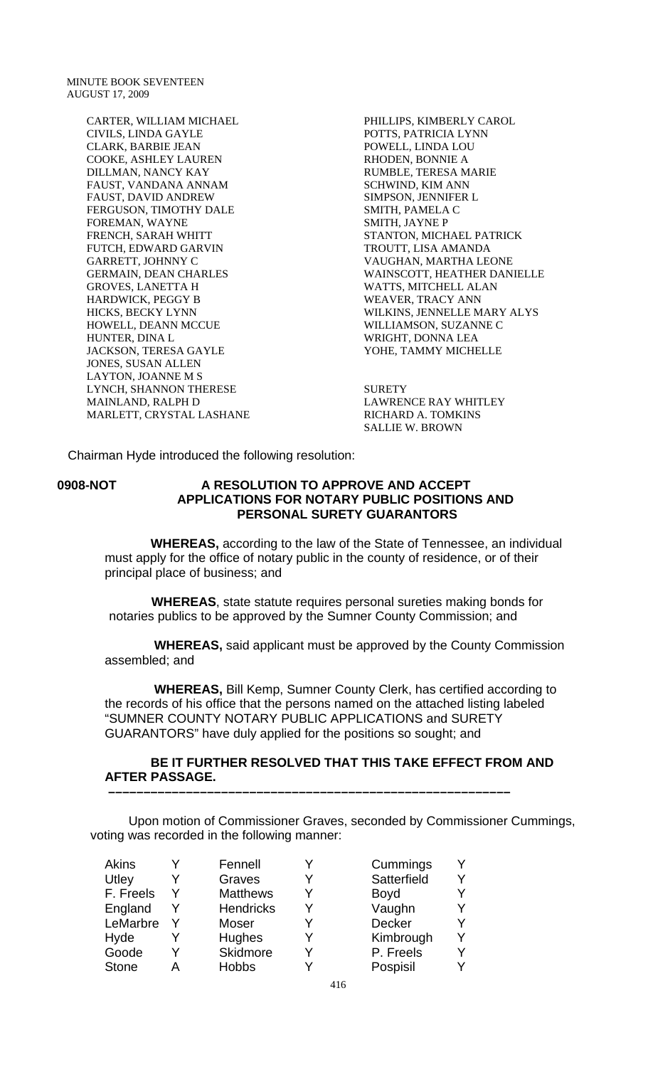MINUTE BOOK SEVENTEEN AUGUST 17, 2009

> CARTER, WILLIAM MICHAEL CIVILS, LINDA GAYLE CLARK, BARBIE JEAN COOKE, ASHLEY LAUREN DILLMAN, NANCY KAY FAUST, VANDANA ANNAM FAUST, DAVID ANDREW FERGUSON, TIMOTHY DALE FOREMAN, WAYNE FRENCH, SARAH WHITT FUTCH, EDWARD GARVIN GARRETT, JOHNNY C GERMAIN, DEAN CHARLES GROVES, LANETTA H HARDWICK, PEGGY B HICKS, BECKY LYNN HOWELL, DEANN MCCUE HUNTER, DINA L JACKSON, TERESA GAYLE JONES, SUSAN ALLEN LAYTON, JOANNE M S LYNCH, SHANNON THERESE MAINLAND, RALPH D MARLETT, CRYSTAL LASHANE

PHILLIPS, KIMBERLY CAROL POTTS, PATRICIA LYNN POWELL, LINDA LOU RHODEN, BONNIE A RUMBLE, TERESA MARIE SCHWIND, KIM ANN SIMPSON, JENNIFER L SMITH, PAMELA C SMITH, JAYNE P STANTON, MICHAEL PATRICK TROUTT, LISA AMANDA VAUGHAN, MARTHA LEONE WAINSCOTT, HEATHER DANIELLE WATTS, MITCHELL ALAN WEAVER, TRACY ANN WILKINS, JENNELLE MARY ALYS WILLIAMSON, SUZANNE C WRIGHT, DONNA LEA YOHE, TAMMY MICHELLE

**SURETY** LAWRENCE RAY WHITLEY RICHARD A. TOMKINS SALLIE W. BROWN

Chairman Hyde introduced the following resolution:

#### **0908-NOT A RESOLUTION TO APPROVE AND ACCEPT APPLICATIONS FOR NOTARY PUBLIC POSITIONS AND PERSONAL SURETY GUARANTORS**

 **WHEREAS,** according to the law of the State of Tennessee, an individual must apply for the office of notary public in the county of residence, or of their principal place of business; and

 **WHEREAS**, state statute requires personal sureties making bonds for notaries publics to be approved by the Sumner County Commission; and

 **WHEREAS,** said applicant must be approved by the County Commission assembled; and

 **WHEREAS,** Bill Kemp, Sumner County Clerk, has certified according to the records of his office that the persons named on the attached listing labeled "SUMNER COUNTY NOTARY PUBLIC APPLICATIONS and SURETY GUARANTORS" have duly applied for the positions so sought; and

### **BE IT FURTHER RESOLVED THAT THIS TAKE EFFECT FROM AND AFTER PASSAGE.**

 **–––––––––––––––––––––––––––––––––––––––––––––––––––––––––**

Upon motion of Commissioner Graves, seconded by Commissioner Cummings, voting was recorded in the following manner:

|   | Fennell          | Y | Cummings      |  |
|---|------------------|---|---------------|--|
|   | Graves           |   | Satterfield   |  |
|   | <b>Matthews</b>  | v | <b>Boyd</b>   |  |
| Y | <b>Hendricks</b> | V | Vaughn        |  |
|   | <b>Moser</b>     |   | <b>Decker</b> |  |
|   | Hughes           | Y | Kimbrough     |  |
|   | Skidmore         | v | P. Freels     |  |
|   | <b>Hobbs</b>     |   | Pospisil      |  |
|   |                  |   |               |  |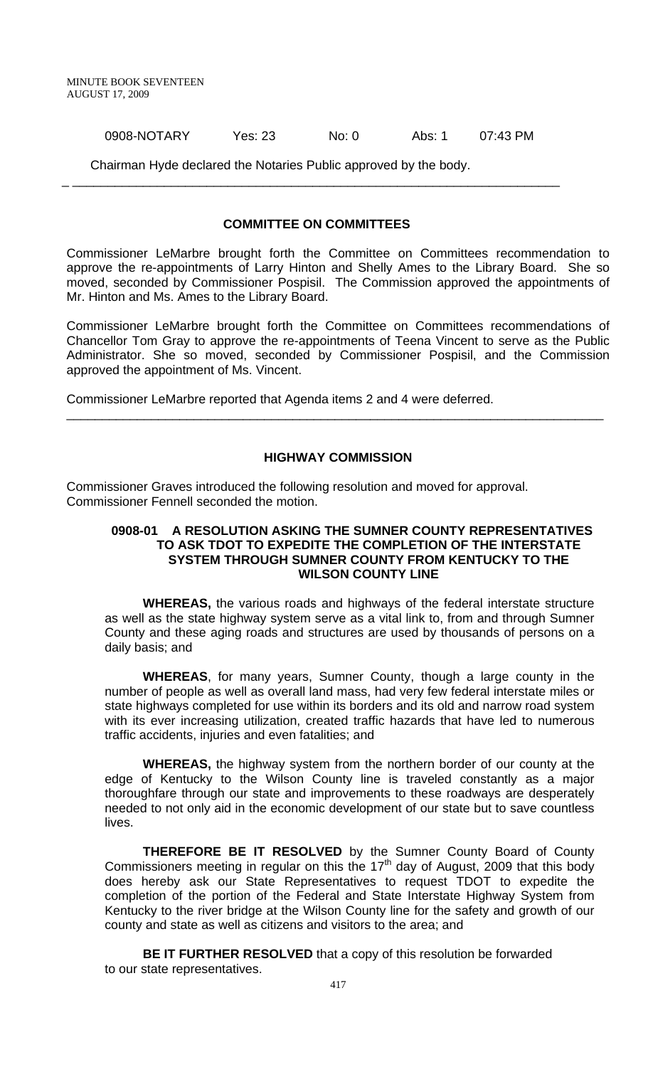0908-NOTARY Yes: 23 No: 0 Abs: 1 07:43 PM

Chairman Hyde declared the Notaries Public approved by the body.

#### **COMMITTEE ON COMMITTEES**

\_ \_\_\_\_\_\_\_\_\_\_\_\_\_\_\_\_\_\_\_\_\_\_\_\_\_\_\_\_\_\_\_\_\_\_\_\_\_\_\_\_\_\_\_\_\_\_\_\_\_\_\_\_\_\_\_\_\_\_\_\_\_\_\_\_\_\_\_\_\_

Commissioner LeMarbre brought forth the Committee on Committees recommendation to approve the re-appointments of Larry Hinton and Shelly Ames to the Library Board. She so moved, seconded by Commissioner Pospisil. The Commission approved the appointments of Mr. Hinton and Ms. Ames to the Library Board.

Commissioner LeMarbre brought forth the Committee on Committees recommendations of Chancellor Tom Gray to approve the re-appointments of Teena Vincent to serve as the Public Administrator. She so moved, seconded by Commissioner Pospisil, and the Commission approved the appointment of Ms. Vincent.

Commissioner LeMarbre reported that Agenda items 2 and 4 were deferred.

### **HIGHWAY COMMISSION**

\_\_\_\_\_\_\_\_\_\_\_\_\_\_\_\_\_\_\_\_\_\_\_\_\_\_\_\_\_\_\_\_\_\_\_\_\_\_\_\_\_\_\_\_\_\_\_\_\_\_\_\_\_\_\_\_\_\_\_\_\_\_\_\_\_\_\_\_\_\_\_\_\_\_\_\_

Commissioner Graves introduced the following resolution and moved for approval. Commissioner Fennell seconded the motion.

### **0908-01 A RESOLUTION ASKING THE SUMNER COUNTY REPRESENTATIVES TO ASK TDOT TO EXPEDITE THE COMPLETION OF THE INTERSTATE SYSTEM THROUGH SUMNER COUNTY FROM KENTUCKY TO THE WILSON COUNTY LINE**

**WHEREAS,** the various roads and highways of the federal interstate structure as well as the state highway system serve as a vital link to, from and through Sumner County and these aging roads and structures are used by thousands of persons on a daily basis; and

**WHEREAS**, for many years, Sumner County, though a large county in the number of people as well as overall land mass, had very few federal interstate miles or state highways completed for use within its borders and its old and narrow road system with its ever increasing utilization, created traffic hazards that have led to numerous traffic accidents, injuries and even fatalities; and

**WHEREAS,** the highway system from the northern border of our county at the edge of Kentucky to the Wilson County line is traveled constantly as a major thoroughfare through our state and improvements to these roadways are desperately needed to not only aid in the economic development of our state but to save countless lives.

**THEREFORE BE IT RESOLVED** by the Sumner County Board of County Commissioners meeting in regular on this the 17<sup>th</sup> day of August, 2009 that this body does hereby ask our State Representatives to request TDOT to expedite the completion of the portion of the Federal and State Interstate Highway System from Kentucky to the river bridge at the Wilson County line for the safety and growth of our county and state as well as citizens and visitors to the area; and

**BE IT FURTHER RESOLVED** that a copy of this resolution be forwarded to our state representatives.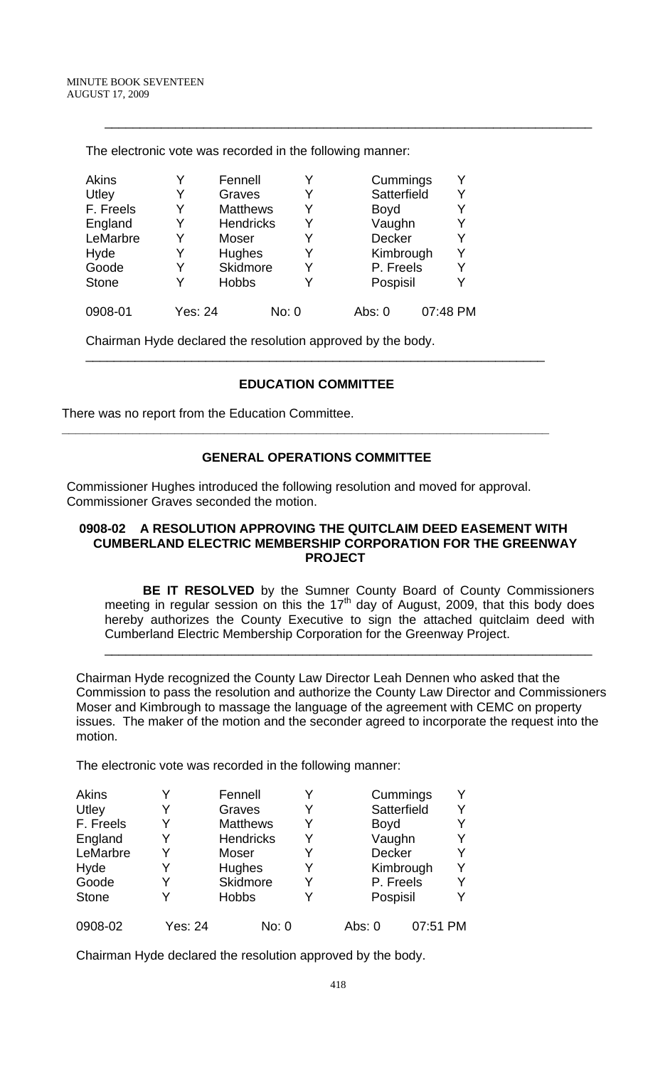| The electronic vote was recorded in the following manner: |         |                  |   |               |          |  |
|-----------------------------------------------------------|---------|------------------|---|---------------|----------|--|
| <b>Akins</b>                                              |         | Fennell          | Y | Cummings      |          |  |
| Utley                                                     | Y       | Graves           | Y | Satterfield   |          |  |
| F. Freels                                                 | Y       | <b>Matthews</b>  | Y | <b>Boyd</b>   |          |  |
| England                                                   | Y       | <b>Hendricks</b> | Y | Vaughn        |          |  |
| LeMarbre                                                  | Y       | Moser            | Y | <b>Decker</b> |          |  |
| Hyde                                                      | Y       | Hughes           | Y | Kimbrough     |          |  |
| Goode                                                     | Y       | <b>Skidmore</b>  | Y | P. Freels     |          |  |
| <b>Stone</b>                                              |         | <b>Hobbs</b>     | Y | Pospisil      |          |  |
| 0908-01                                                   | Yes: 24 | No: 0            |   | Abs: 0        | 07:48 PM |  |

\_\_\_\_\_\_\_\_\_\_\_\_\_\_\_\_\_\_\_\_\_\_\_\_\_\_\_\_\_\_\_\_\_\_\_\_\_\_\_\_\_\_\_\_\_\_\_\_\_\_\_\_\_\_\_\_\_\_\_\_\_\_\_\_\_\_\_\_\_

The electronic vote was recorded in the following manner:

Chairman Hyde declared the resolution approved by the body.

# **EDUCATION COMMITTEE**

\_\_\_\_\_\_\_\_\_\_\_\_\_\_\_\_\_\_\_\_\_\_\_\_\_\_\_\_\_\_\_\_\_\_\_\_\_\_\_\_\_\_\_\_\_\_\_\_\_\_\_\_\_\_\_\_\_\_\_\_\_\_\_\_\_

There was no report from the Education Committee.

# **GENERAL OPERATIONS COMMITTEE**

**\_\_\_\_\_\_\_\_\_\_\_\_\_\_\_\_\_\_\_\_\_\_\_\_\_\_\_\_\_\_\_\_\_\_\_\_\_\_\_\_\_\_\_\_\_\_\_\_\_\_\_\_\_\_\_\_\_\_\_\_\_\_\_\_\_\_\_\_\_** 

Commissioner Hughes introduced the following resolution and moved for approval. Commissioner Graves seconded the motion.

#### **0908-02 A RESOLUTION APPROVING THE QUITCLAIM DEED EASEMENT WITH CUMBERLAND ELECTRIC MEMBERSHIP CORPORATION FOR THE GREENWAY PROJECT**

**BE IT RESOLVED** by the Sumner County Board of County Commissioners meeting in regular session on this the  $17<sup>th</sup>$  day of August, 2009, that this body does hereby authorizes the County Executive to sign the attached quitclaim deed with Cumberland Electric Membership Corporation for the Greenway Project.

\_\_\_\_\_\_\_\_\_\_\_\_\_\_\_\_\_\_\_\_\_\_\_\_\_\_\_\_\_\_\_\_\_\_\_\_\_\_\_\_\_\_\_\_\_\_\_\_\_\_\_\_\_\_\_\_\_\_\_\_\_\_\_\_\_\_\_\_\_

Chairman Hyde recognized the County Law Director Leah Dennen who asked that the Commission to pass the resolution and authorize the County Law Director and Commissioners Moser and Kimbrough to massage the language of the agreement with CEMC on property issues. The maker of the motion and the seconder agreed to incorporate the request into the motion.

The electronic vote was recorded in the following manner:

| Akins        |         | Fennell          | Y |             | Cummings    |  |
|--------------|---------|------------------|---|-------------|-------------|--|
| Utley        |         | Graves           | Y |             | Satterfield |  |
| F. Freels    |         | <b>Matthews</b>  | Y | <b>Boyd</b> |             |  |
| England      |         | <b>Hendricks</b> | Y | Vaughn      |             |  |
| LeMarbre     |         | Moser            | Y | Decker      |             |  |
| Hyde         |         | <b>Hughes</b>    | Y |             | Kimbrough   |  |
| Goode        |         | Skidmore         | Y | P. Freels   |             |  |
| <b>Stone</b> |         | <b>Hobbs</b>     | Y | Pospisil    |             |  |
| 0908-02      | Yes: 24 | No: 0            |   | Abs: 0      | 07:51 PM    |  |

Chairman Hyde declared the resolution approved by the body.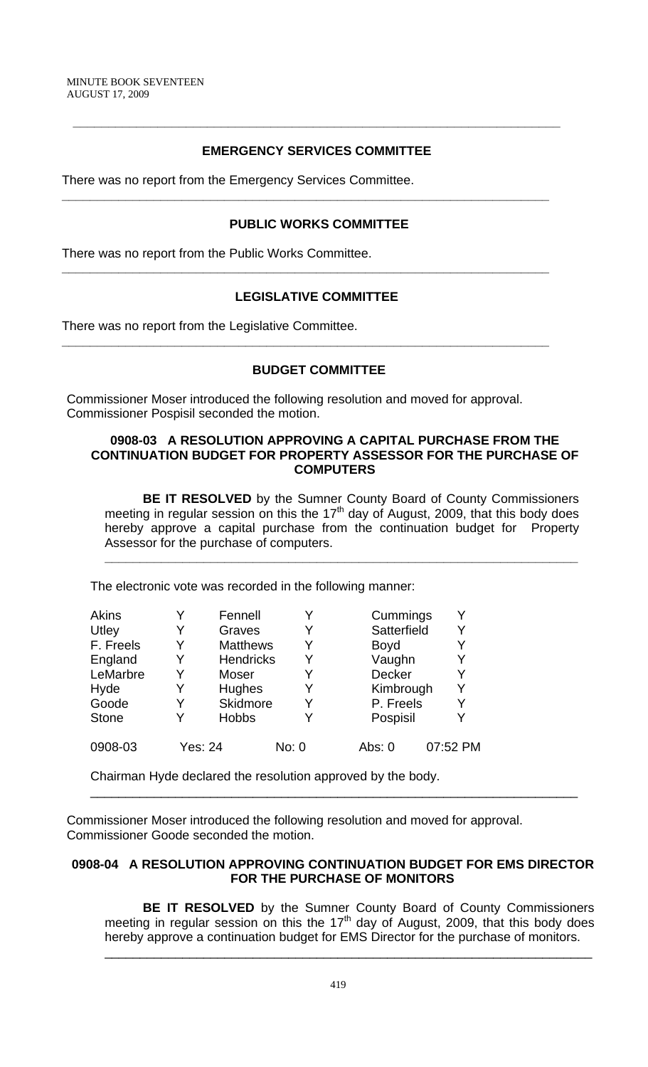# **EMERGENCY SERVICES COMMITTEE**

**\_\_\_\_\_\_\_\_\_\_\_\_\_\_\_\_\_\_\_\_\_\_\_\_\_\_\_\_\_\_\_\_\_\_\_\_\_\_\_\_\_\_\_\_\_\_\_\_\_\_\_\_\_\_\_\_\_\_\_\_\_\_\_\_\_\_\_\_\_** 

There was no report from the Emergency Services Committee.

### **PUBLIC WORKS COMMITTEE**

**\_\_\_\_\_\_\_\_\_\_\_\_\_\_\_\_\_\_\_\_\_\_\_\_\_\_\_\_\_\_\_\_\_\_\_\_\_\_\_\_\_\_\_\_\_\_\_\_\_\_\_\_\_\_\_\_\_\_\_\_\_\_\_\_\_\_\_\_\_** 

**\_\_\_\_\_\_\_\_\_\_\_\_\_\_\_\_\_\_\_\_\_\_\_\_\_\_\_\_\_\_\_\_\_\_\_\_\_\_\_\_\_\_\_\_\_\_\_\_\_\_\_\_\_\_\_\_\_\_\_\_\_\_\_\_\_\_\_\_\_** 

**\_\_\_\_\_\_\_\_\_\_\_\_\_\_\_\_\_\_\_\_\_\_\_\_\_\_\_\_\_\_\_\_\_\_\_\_\_\_\_\_\_\_\_\_\_\_\_\_\_\_\_\_\_\_\_\_\_\_\_\_\_\_\_\_\_\_\_\_\_** 

There was no report from the Public Works Committee.

# **LEGISLATIVE COMMITTEE**

There was no report from the Legislative Committee.

# **BUDGET COMMITTEE**

Commissioner Moser introduced the following resolution and moved for approval. Commissioner Pospisil seconded the motion.

### **0908-03 A RESOLUTION APPROVING A CAPITAL PURCHASE FROM THE CONTINUATION BUDGET FOR PROPERTY ASSESSOR FOR THE PURCHASE OF COMPUTERS**

**BE IT RESOLVED** by the Sumner County Board of County Commissioners meeting in regular session on this the 17<sup>th</sup> day of August, 2009, that this body does hereby approve a capital purchase from the continuation budget for Property Assessor for the purchase of computers.

**\_\_\_\_\_\_\_\_\_\_\_\_\_\_\_\_\_\_\_\_\_\_\_\_\_\_\_\_\_\_\_\_\_\_\_\_\_\_\_\_\_\_\_\_\_\_\_\_\_\_\_\_\_\_\_\_\_\_\_\_\_\_\_\_\_\_\_** 

The electronic vote was recorded in the following manner:

| <b>Akins</b> |   | Fennell          |       | Cummings      | Y        |
|--------------|---|------------------|-------|---------------|----------|
| Utley        |   | Graves           |       | Satterfield   | Y        |
| F. Freels    | Y | <b>Matthews</b>  | Y     | <b>Boyd</b>   | Y        |
| England      |   | <b>Hendricks</b> |       | Vaughn        | Y        |
| LeMarbre     |   | Moser            |       | <b>Decker</b> | Y        |
| Hyde         |   | Hughes           |       | Kimbrough     | Y        |
| Goode        |   | Skidmore         |       | P. Freels     | Y        |
| <b>Stone</b> |   | <b>Hobbs</b>     |       | Pospisil      | Y        |
| 0908-03      |   | Yes: 24          | No: 0 | Abs: $0$      | 07:52 PM |

Chairman Hyde declared the resolution approved by the body.

Commissioner Moser introduced the following resolution and moved for approval. Commissioner Goode seconded the motion.

# **0908-04 A RESOLUTION APPROVING CONTINUATION BUDGET FOR EMS DIRECTOR FOR THE PURCHASE OF MONITORS**

\_\_\_\_\_\_\_\_\_\_\_\_\_\_\_\_\_\_\_\_\_\_\_\_\_\_\_\_\_\_\_\_\_\_\_\_\_\_\_\_\_\_\_\_\_\_\_\_\_\_\_\_\_\_\_\_\_\_\_\_\_\_\_\_\_\_\_\_\_

**BE IT RESOLVED** by the Sumner County Board of County Commissioners meeting in regular session on this the  $17<sup>th</sup>$  day of August, 2009, that this body does hereby approve a continuation budget for EMS Director for the purchase of monitors. \_\_\_\_\_\_\_\_\_\_\_\_\_\_\_\_\_\_\_\_\_\_\_\_\_\_\_\_\_\_\_\_\_\_\_\_\_\_\_\_\_\_\_\_\_\_\_\_\_\_\_\_\_\_\_\_\_\_\_\_\_\_\_\_\_\_\_\_\_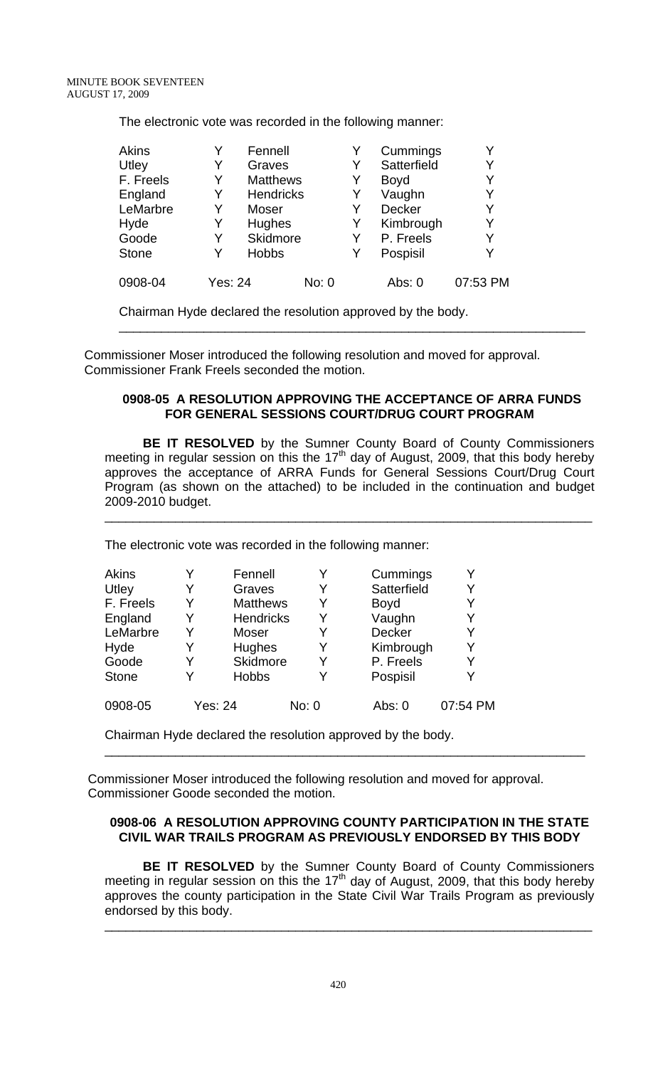The electronic vote was recorded in the following manner:

| <b>Akins</b> |                | Fennell          |       |   | Cummings      |          |
|--------------|----------------|------------------|-------|---|---------------|----------|
| Utley        | Y              | Graves           |       |   | Satterfield   | Y        |
| F. Freels    | Y              | <b>Matthews</b>  |       | Y | <b>Boyd</b>   | Y        |
| England      | Y              | <b>Hendricks</b> |       | Y | Vaughn        | Y        |
| LeMarbre     | Y              | Moser            |       |   | <b>Decker</b> | Y        |
| Hyde         | Y              | Hughes           |       | Y | Kimbrough     | Y        |
| Goode        | Y              | Skidmore         |       | Y | P. Freels     | Y        |
| <b>Stone</b> | Y              | <b>Hobbs</b>     |       | Y | Pospisil      |          |
| 0908-04      | <b>Yes: 24</b> |                  | No: 0 |   | Abs: 0        | 07:53 PM |

Chairman Hyde declared the resolution approved by the body.

 Commissioner Moser introduced the following resolution and moved for approval. Commissioner Frank Freels seconded the motion.

### **0908-05 A RESOLUTION APPROVING THE ACCEPTANCE OF ARRA FUNDS FOR GENERAL SESSIONS COURT/DRUG COURT PROGRAM**

\_\_\_\_\_\_\_\_\_\_\_\_\_\_\_\_\_\_\_\_\_\_\_\_\_\_\_\_\_\_\_\_\_\_\_\_\_\_\_\_\_\_\_\_\_\_\_\_\_\_\_\_\_\_\_\_\_\_\_\_\_\_\_\_\_\_

**BE IT RESOLVED** by the Sumner County Board of County Commissioners meeting in regular session on this the  $17<sup>th</sup>$  day of August, 2009, that this body hereby approves the acceptance of ARRA Funds for General Sessions Court/Drug Court Program (as shown on the attached) to be included in the continuation and budget 2009-2010 budget.

\_\_\_\_\_\_\_\_\_\_\_\_\_\_\_\_\_\_\_\_\_\_\_\_\_\_\_\_\_\_\_\_\_\_\_\_\_\_\_\_\_\_\_\_\_\_\_\_\_\_\_\_\_\_\_\_\_\_\_\_\_\_\_\_\_\_\_\_\_

The electronic vote was recorded in the following manner:

| <b>Akins</b> |   | Fennell          |       | Cummings    |          |
|--------------|---|------------------|-------|-------------|----------|
| Utley        | Y | Graves           | Y     | Satterfield | Y        |
| F. Freels    | Y | <b>Matthews</b>  | Y     | <b>Boyd</b> | Y        |
| England      | Y | <b>Hendricks</b> | Y     | Vaughn      | Y        |
| LeMarbre     | Y | Moser            |       | Decker      |          |
| Hyde         | Y | Hughes           | Y     | Kimbrough   | Y        |
| Goode        | Y | Skidmore         | Y     | P. Freels   | Y        |
| <b>Stone</b> | v | <b>Hobbs</b>     |       | Pospisil    |          |
| 0908-05      |   | Yes: 24          | No: 0 | Abs: 0      | 07:54 PM |

Chairman Hyde declared the resolution approved by the body.

 Commissioner Moser introduced the following resolution and moved for approval. Commissioner Goode seconded the motion.

# **0908-06 A RESOLUTION APPROVING COUNTY PARTICIPATION IN THE STATE CIVIL WAR TRAILS PROGRAM AS PREVIOUSLY ENDORSED BY THIS BODY**

\_\_\_\_\_\_\_\_\_\_\_\_\_\_\_\_\_\_\_\_\_\_\_\_\_\_\_\_\_\_\_\_\_\_\_\_\_\_\_\_\_\_\_\_\_\_\_\_\_\_\_\_\_\_\_\_\_\_\_\_\_\_\_\_\_\_\_\_

**BE IT RESOLVED** by the Sumner County Board of County Commissioners meeting in regular session on this the 17<sup>th</sup> day of August, 2009, that this body hereby approves the county participation in the State Civil War Trails Program as previously endorsed by this body.

\_\_\_\_\_\_\_\_\_\_\_\_\_\_\_\_\_\_\_\_\_\_\_\_\_\_\_\_\_\_\_\_\_\_\_\_\_\_\_\_\_\_\_\_\_\_\_\_\_\_\_\_\_\_\_\_\_\_\_\_\_\_\_\_\_\_\_\_\_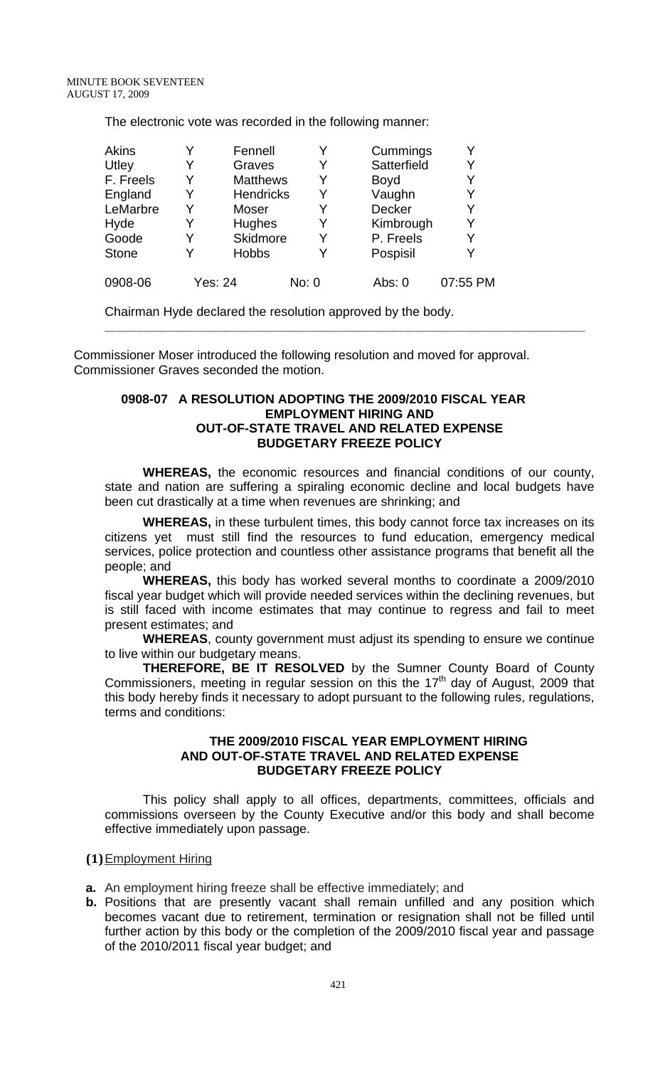The electronic vote was recorded in the following manner:

| <b>Akins</b> |   | Fennell          |       | Cummings    | Y        |
|--------------|---|------------------|-------|-------------|----------|
| Utley        |   | Graves           |       | Satterfield | Y        |
| F. Freels    | Y | <b>Matthews</b>  | Y     | <b>Boyd</b> | Y        |
| England      | Y | <b>Hendricks</b> | Y     | Vaughn      | Y        |
| LeMarbre     | Y | Moser            |       | Decker      | Y        |
| Hyde         | Y | Hughes           | Y     | Kimbrough   | Y        |
| Goode        | Y | Skidmore         | Y     | P. Freels   | Y        |
| <b>Stone</b> | Y | <b>Hobbs</b>     |       | Pospisil    | Y        |
| 0908-06      |   | Yes: 24          | No: 0 | Abs: 0      | 07:55 PM |

Chairman Hyde declared the resolution approved by the body.

 Commissioner Moser introduced the following resolution and moved for approval. Commissioner Graves seconded the motion.

### **0908-07 A RESOLUTION ADOPTING THE 2009/2010 FISCAL YEAR EMPLOYMENT HIRING AND OUT-OF-STATE TRAVEL AND RELATED EXPENSE BUDGETARY FREEZE POLICY**

**WHEREAS,** the economic resources and financial conditions of our county, state and nation are suffering a spiraling economic decline and local budgets have been cut drastically at a time when revenues are shrinking; and

**\_\_\_\_\_\_\_\_\_\_\_\_\_\_\_\_\_\_\_\_\_\_\_\_\_\_\_\_\_\_\_\_\_\_\_\_\_\_\_\_\_\_\_\_\_\_\_\_\_\_\_\_\_\_\_\_\_\_\_\_\_\_\_\_\_\_\_\_** 

**WHEREAS,** in these turbulent times, this body cannot force tax increases on its citizens yet must still find the resources to fund education, emergency medical services, police protection and countless other assistance programs that benefit all the people; and

**WHEREAS,** this body has worked several months to coordinate a 2009/2010 fiscal year budget which will provide needed services within the declining revenues, but is still faced with income estimates that may continue to regress and fail to meet present estimates; and

**WHEREAS**, county government must adjust its spending to ensure we continue to live within our budgetary means.

**THEREFORE, BE IT RESOLVED** by the Sumner County Board of County Commissioners, meeting in regular session on this the  $17<sup>th</sup>$  day of August, 2009 that this body hereby finds it necessary to adopt pursuant to the following rules, regulations, terms and conditions:

### **THE 2009/2010 FISCAL YEAR EMPLOYMENT HIRING AND OUT-OF-STATE TRAVEL AND RELATED EXPENSE BUDGETARY FREEZE POLICY**

 This policy shall apply to all offices, departments, committees, officials and commissions overseen by the County Executive and/or this body and shall become effective immediately upon passage.

**(1)**Employment Hiring

- **a.** An employment hiring freeze shall be effective immediately; and
- **b.** Positions that are presently vacant shall remain unfilled and any position which becomes vacant due to retirement, termination or resignation shall not be filled until further action by this body or the completion of the 2009/2010 fiscal year and passage of the 2010/2011 fiscal year budget; and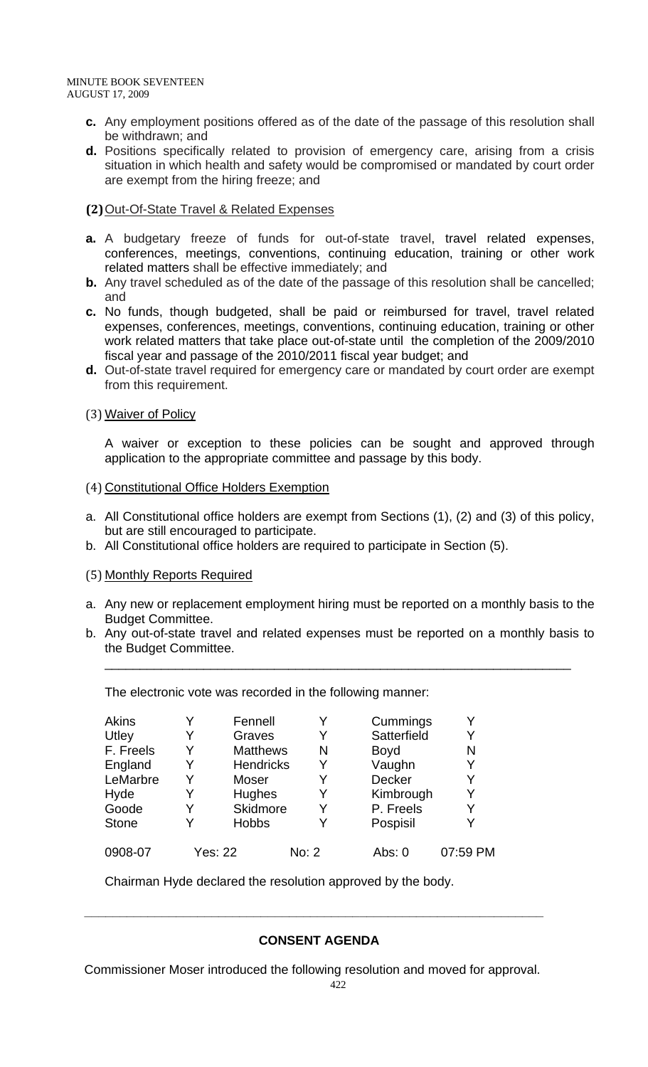MINUTE BOOK SEVENTEEN AUGUST 17, 2009

- **c.** Any employment positions offered as of the date of the passage of this resolution shall be withdrawn; and
- **d.** Positions specifically related to provision of emergency care, arising from a crisis situation in which health and safety would be compromised or mandated by court order are exempt from the hiring freeze; and

# **(2)**Out-Of-State Travel & Related Expenses

- **a.** A budgetary freeze of funds for out-of-state travel, travel related expenses, conferences, meetings, conventions, continuing education, training or other work related matters shall be effective immediately; and
- **b.** Any travel scheduled as of the date of the passage of this resolution shall be cancelled; and
- **c.** No funds, though budgeted, shall be paid or reimbursed for travel, travel related expenses, conferences, meetings, conventions, continuing education, training or other work related matters that take place out-of-state until the completion of the 2009/2010 fiscal year and passage of the 2010/2011 fiscal year budget; and
- **d.** Out-of-state travel required for emergency care or mandated by court order are exempt from this requirement.

# (3) Waiver of Policy

A waiver or exception to these policies can be sought and approved through application to the appropriate committee and passage by this body.

# (4) Constitutional Office Holders Exemption

- a. All Constitutional office holders are exempt from Sections (1), (2) and (3) of this policy, but are still encouraged to participate.
- b. All Constitutional office holders are required to participate in Section (5).

### (5) Monthly Reports Required

- a. Any new or replacement employment hiring must be reported on a monthly basis to the Budget Committee.
- b. Any out-of-state travel and related expenses must be reported on a monthly basis to the Budget Committee.

\_\_\_\_\_\_\_\_\_\_\_\_\_\_\_\_\_\_\_\_\_\_\_\_\_\_\_\_\_\_\_\_\_\_\_\_\_\_\_\_\_\_\_\_\_\_\_\_\_\_\_\_\_\_\_\_\_\_\_\_\_\_\_\_\_\_

The electronic vote was recorded in the following manner:

| <b>Akins</b> |   | Fennell          |       | Cummings      |          |
|--------------|---|------------------|-------|---------------|----------|
| Utley        | Y | Graves           | Y     | Satterfield   | Y        |
| F. Freels    | Y | <b>Matthews</b>  | N     | <b>Boyd</b>   | N        |
| England      | Y | <b>Hendricks</b> | Y     | Vaughn        | Y        |
| LeMarbre     | Y | Moser            |       | <b>Decker</b> | Y        |
| Hyde         | Y | Hughes           | Y     | Kimbrough     | Y        |
| Goode        | Y | Skidmore         | Y     | P. Freels     | Y        |
| <b>Stone</b> | v | <b>Hobbs</b>     |       | Pospisil      | Y        |
| 0908-07      |   | <b>Yes: 22</b>   | No: 2 | Abs: 0        | 07:59 PM |

Chairman Hyde declared the resolution approved by the body.

# **CONSENT AGENDA**

Commissioner Moser introduced the following resolution and moved for approval.

 **\_\_\_\_\_\_\_\_\_\_\_\_\_\_\_\_\_\_\_\_\_\_\_\_\_\_\_\_\_\_\_\_\_\_\_\_\_\_\_\_\_\_\_\_\_\_\_\_\_\_\_\_\_\_\_\_\_\_\_\_\_\_\_\_\_**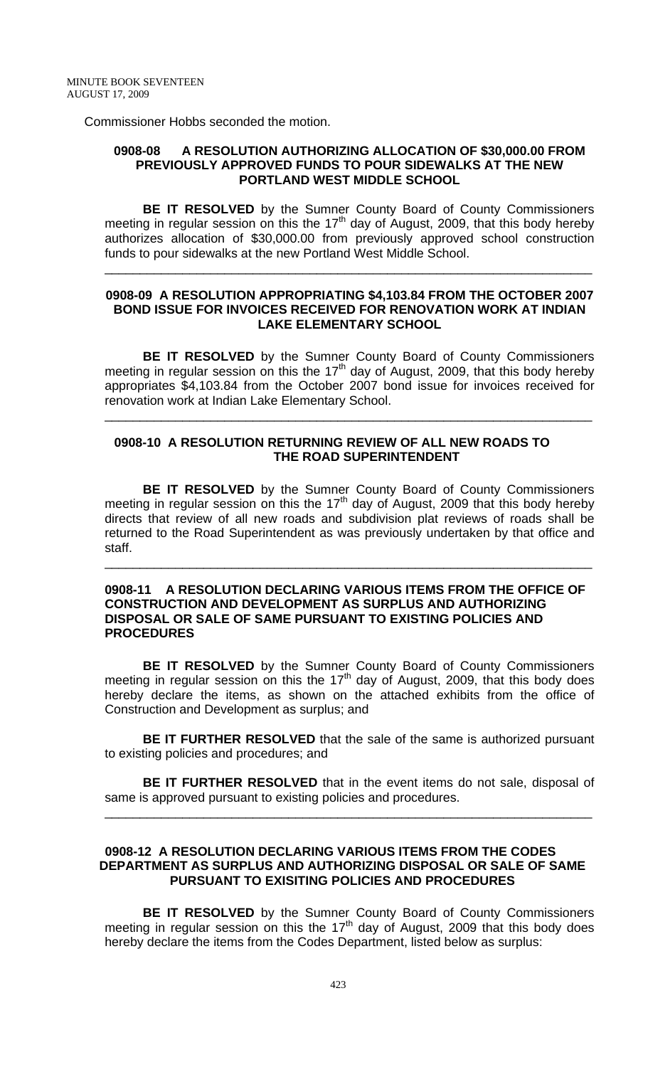Commissioner Hobbs seconded the motion.

#### **0908-08 A RESOLUTION AUTHORIZING ALLOCATION OF \$30,000.00 FROM PREVIOUSLY APPROVED FUNDS TO POUR SIDEWALKS AT THE NEW PORTLAND WEST MIDDLE SCHOOL**

**BE IT RESOLVED** by the Sumner County Board of County Commissioners meeting in regular session on this the  $17<sup>th</sup>$  day of August, 2009, that this body hereby authorizes allocation of \$30,000.00 from previously approved school construction funds to pour sidewalks at the new Portland West Middle School.

\_\_\_\_\_\_\_\_\_\_\_\_\_\_\_\_\_\_\_\_\_\_\_\_\_\_\_\_\_\_\_\_\_\_\_\_\_\_\_\_\_\_\_\_\_\_\_\_\_\_\_\_\_\_\_\_\_\_\_\_\_\_\_\_\_\_\_\_\_

#### **0908-09 A RESOLUTION APPROPRIATING \$4,103.84 FROM THE OCTOBER 2007 BOND ISSUE FOR INVOICES RECEIVED FOR RENOVATION WORK AT INDIAN LAKE ELEMENTARY SCHOOL**

**BE IT RESOLVED** by the Sumner County Board of County Commissioners meeting in regular session on this the  $17<sup>th</sup>$  day of August, 2009, that this body hereby appropriates \$4,103.84 from the October 2007 bond issue for invoices received for renovation work at Indian Lake Elementary School.

\_\_\_\_\_\_\_\_\_\_\_\_\_\_\_\_\_\_\_\_\_\_\_\_\_\_\_\_\_\_\_\_\_\_\_\_\_\_\_\_\_\_\_\_\_\_\_\_\_\_\_\_\_\_\_\_\_\_\_\_\_\_\_\_\_\_\_\_\_

### **0908-10 A RESOLUTION RETURNING REVIEW OF ALL NEW ROADS TO THE ROAD SUPERINTENDENT**

**BE IT RESOLVED** by the Sumner County Board of County Commissioners meeting in regular session on this the 17<sup>th</sup> day of August, 2009 that this body hereby directs that review of all new roads and subdivision plat reviews of roads shall be returned to the Road Superintendent as was previously undertaken by that office and staff.

\_\_\_\_\_\_\_\_\_\_\_\_\_\_\_\_\_\_\_\_\_\_\_\_\_\_\_\_\_\_\_\_\_\_\_\_\_\_\_\_\_\_\_\_\_\_\_\_\_\_\_\_\_\_\_\_\_\_\_\_\_\_\_\_\_\_\_\_\_

#### **0908-11 A RESOLUTION DECLARING VARIOUS ITEMS FROM THE OFFICE OF CONSTRUCTION AND DEVELOPMENT AS SURPLUS AND AUTHORIZING DISPOSAL OR SALE OF SAME PURSUANT TO EXISTING POLICIES AND PROCEDURES**

**BE IT RESOLVED** by the Sumner County Board of County Commissioners meeting in regular session on this the 17<sup>th</sup> day of August, 2009, that this body does hereby declare the items, as shown on the attached exhibits from the office of Construction and Development as surplus; and

**BE IT FURTHER RESOLVED** that the sale of the same is authorized pursuant to existing policies and procedures; and

**BE IT FURTHER RESOLVED** that in the event items do not sale, disposal of same is approved pursuant to existing policies and procedures. \_\_\_\_\_\_\_\_\_\_\_\_\_\_\_\_\_\_\_\_\_\_\_\_\_\_\_\_\_\_\_\_\_\_\_\_\_\_\_\_\_\_\_\_\_\_\_\_\_\_\_\_\_\_\_\_\_\_\_\_\_\_\_\_\_\_\_\_\_

#### **0908-12 A RESOLUTION DECLARING VARIOUS ITEMS FROM THE CODES DEPARTMENT AS SURPLUS AND AUTHORIZING DISPOSAL OR SALE OF SAME PURSUANT TO EXISITING POLICIES AND PROCEDURES**

 **BE IT RESOLVED** by the Sumner County Board of County Commissioners meeting in regular session on this the  $17<sup>th</sup>$  day of August, 2009 that this body does hereby declare the items from the Codes Department, listed below as surplus: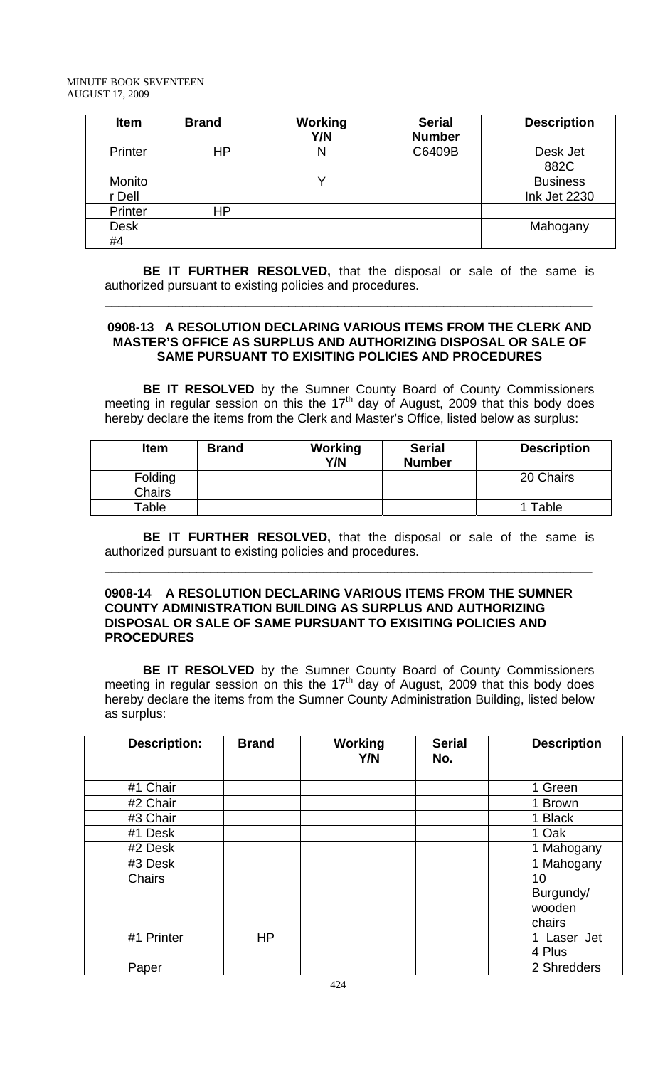| <b>Item</b>       | <b>Brand</b> | <b>Working</b><br>Y/N | <b>Serial</b><br><b>Number</b> | <b>Description</b>              |
|-------------------|--------------|-----------------------|--------------------------------|---------------------------------|
| Printer           | ΗP           | N                     | C6409B                         | Desk Jet<br>882C                |
| Monito<br>r Dell  |              |                       |                                | <b>Business</b><br>Ink Jet 2230 |
| Printer           | ΗP           |                       |                                |                                 |
| <b>Desk</b><br>#4 |              |                       |                                | Mahogany                        |

**BE IT FURTHER RESOLVED,** that the disposal or sale of the same is authorized pursuant to existing policies and procedures.

\_\_\_\_\_\_\_\_\_\_\_\_\_\_\_\_\_\_\_\_\_\_\_\_\_\_\_\_\_\_\_\_\_\_\_\_\_\_\_\_\_\_\_\_\_\_\_\_\_\_\_\_\_\_\_\_\_\_\_\_\_\_\_\_\_\_\_\_\_

### **0908-13 A RESOLUTION DECLARING VARIOUS ITEMS FROM THE CLERK AND MASTER'S OFFICE AS SURPLUS AND AUTHORIZING DISPOSAL OR SALE OF SAME PURSUANT TO EXISITING POLICIES AND PROCEDURES**

 **BE IT RESOLVED** by the Sumner County Board of County Commissioners meeting in regular session on this the 17<sup>th</sup> day of August, 2009 that this body does hereby declare the items from the Clerk and Master's Office, listed below as surplus:

| <b>Item</b>              | <b>Brand</b> | Working<br>Y/N | <b>Serial</b><br><b>Number</b> | <b>Description</b> |
|--------------------------|--------------|----------------|--------------------------------|--------------------|
| Folding<br><b>Chairs</b> |              |                |                                | 20 Chairs          |
| Table                    |              |                |                                | Table              |

**BE IT FURTHER RESOLVED,** that the disposal or sale of the same is authorized pursuant to existing policies and procedures.

\_\_\_\_\_\_\_\_\_\_\_\_\_\_\_\_\_\_\_\_\_\_\_\_\_\_\_\_\_\_\_\_\_\_\_\_\_\_\_\_\_\_\_\_\_\_\_\_\_\_\_\_\_\_\_\_\_\_\_\_\_\_\_\_\_\_\_\_\_

### **0908-14 A RESOLUTION DECLARING VARIOUS ITEMS FROM THE SUMNER COUNTY ADMINISTRATION BUILDING AS SURPLUS AND AUTHORIZING DISPOSAL OR SALE OF SAME PURSUANT TO EXISITING POLICIES AND PROCEDURES**

**BE IT RESOLVED** by the Sumner County Board of County Commissioners meeting in regular session on this the  $17<sup>th</sup>$  day of August, 2009 that this body does hereby declare the items from the Sumner County Administration Building, listed below as surplus:

| <b>Description:</b> | <b>Brand</b> | Working<br>Y/N | <b>Serial</b><br>No. | <b>Description</b> |
|---------------------|--------------|----------------|----------------------|--------------------|
| #1 Chair            |              |                |                      | 1 Green            |
| #2 Chair            |              |                |                      | 1 Brown            |
| #3 Chair            |              |                |                      | 1 Black            |
| #1 Desk             |              |                |                      | 1 Oak              |
| #2 Desk             |              |                |                      | 1 Mahogany         |
| #3 Desk             |              |                |                      | 1 Mahogany         |
| <b>Chairs</b>       |              |                |                      | 10                 |
|                     |              |                |                      | Burgundy/          |
|                     |              |                |                      | wooden             |
|                     |              |                |                      | chairs             |
| #1 Printer          | <b>HP</b>    |                |                      | Laser Jet<br>1     |
|                     |              |                |                      | 4 Plus             |
| Paper               |              |                |                      | 2 Shredders        |